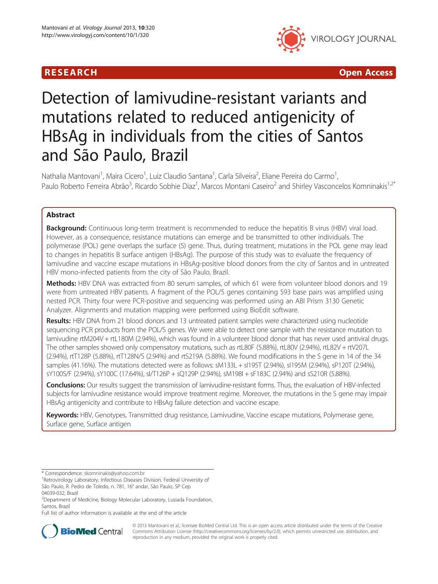



# Detection of lamivudine-resistant variants and mutations related to reduced antigenicity of HBsAg in individuals from the cities of Santos and São Paulo, Brazil

Nathalia Mantovani<sup>1</sup>, Maira Cicero<sup>1</sup>, Luiz Claudio Santana<sup>1</sup>, Carla Silveira<sup>2</sup>, Eliane Pereira do Carmo<sup>1</sup> , Paulo Roberto Ferreira Abrão<sup>3</sup>, Ricardo Sobhie Diaz<sup>1</sup>, Marcos Montani Caseiro<sup>2</sup> and Shirley Vasconcelos Komninakis<sup>1,2\*</sup>

# Abstract

Background: Continuous long-term treatment is recommended to reduce the hepatitis B virus (HBV) viral load. However, as a consequence, resistance mutations can emerge and be transmitted to other individuals. The polymerase (POL) gene overlaps the surface (S) gene. Thus, during treatment, mutations in the POL gene may lead to changes in hepatitis B surface antigen (HBsAg). The purpose of this study was to evaluate the frequency of lamivudine and vaccine escape mutations in HBsAg-positive blood donors from the city of Santos and in untreated HBV mono-infected patients from the city of São Paulo, Brazil.

Methods: HBV DNA was extracted from 80 serum samples, of which 61 were from volunteer blood donors and 19 were from untreated HBV patients. A fragment of the POL/S genes containing 593 base pairs was amplified using nested PCR. Thirty four were PCR-positive and sequencing was performed using an ABI Prism 3130 Genetic Analyzer. Alignments and mutation mapping were performed using BioEdit software.

Results: HBV DNA from 21 blood donors and 13 untreated patient samples were characterized using nucleotide sequencing PCR products from the POL/S genes. We were able to detect one sample with the resistance mutation to lamivudine rtM204V + rtL180M (2.94%), which was found in a volunteer blood donor that has never used antiviral drugs. The other samples showed only compensatory mutations, such as rtL80F (5.88%), rtL80V (2.94%), rtL82V + rtV207L (2.94%), rtT128P (5.88%), rtT128N/S (2.94%) and rtS219A (5.88%). We found modifications in the S gene in 14 of the 34 samples (41.16%). The mutations detected were as follows: sM133L + sI195T (2.94%), sI195M (2.94%), sP120T (2.94%), sY100S/F (2.94%), sY100C (17.64%), sI/T126P + sQ129P (2.94%), sM198I + sF183C (2.94%) and sS210R (5.88%).

Conclusions: Our results suggest the transmission of lamivudine-resistant forms. Thus, the evaluation of HBV-infected subjects for lamivudine resistance would improve treatment regime. Moreover, the mutations in the S gene may impair HBsAg antigenicity and contribute to HBsAg failure detection and vaccine escape.

Keywords: HBV, Genotypes, Transmitted drug resistance, Lamivudine, Vaccine escape mutations, Polymerase gene, Surface gene, Surface antigen

Full list of author information is available at the end of the article



© 2013 Mantovani et al.; licensee BioMed Central Ltd. This is an open access article distributed under the terms of the Creative Commons Attribution License [\(http://creativecommons.org/licenses/by/2.0\)](http://creativecommons.org/licenses/by/2.0), which permits unrestricted use, distribution, and reproduction in any medium, provided the original work is properly cited.

<sup>\*</sup> Correspondence: [skomninakis@yahoo.com.br](mailto:skomninakis@yahoo.com.br) <sup>1</sup>

<sup>&</sup>lt;sup>1</sup> Retrovirology Laboratory, Infectious Diseases Division, Federal University of São Paulo, R. Pedro de Toledo, n. 781, 16° andar, São Paulo, SP Cep 04039-032, Brazil

<sup>&</sup>lt;sup>2</sup>Department of Medicine, Biology Molecular Laboratory, Lusiada Foundation, Santos, Brazil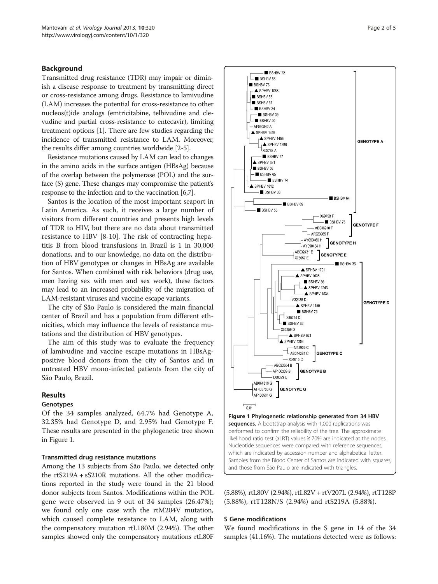## Background

Transmitted drug resistance (TDR) may impair or diminish a disease response to treatment by transmitting direct or cross-resistance among drugs. Resistance to lamivudine (LAM) increases the potential for cross-resistance to other nucleos(t)ide analogs (emtricitabine, telbivudine and clevudine and partial cross-resistance to entecavir), limiting treatment options [[1](#page-3-0)]. There are few studies regarding the incidence of transmitted resistance to LAM. Moreover, the results differ among countries worldwide [\[2](#page-3-0)[-5](#page-4-0)].

Resistance mutations caused by LAM can lead to changes in the amino acids in the surface antigen (HBsAg) because of the overlap between the polymerase (POL) and the surface (S) gene. These changes may compromise the patient's response to the infection and to the vaccination [[6,7](#page-4-0)].

Santos is the location of the most important seaport in Latin America. As such, it receives a large number of visitors from different countries and presents high levels of TDR to HIV, but there are no data about transmitted resistance to HBV [[8-10\]](#page-4-0). The risk of contracting hepatitis B from blood transfusions in Brazil is 1 in 30,000 donations, and to our knowledge, no data on the distribution of HBV genotypes or changes in HBsAg are available for Santos. When combined with risk behaviors (drug use, men having sex with men and sex work), these factors may lead to an increased probability of the migration of LAM-resistant viruses and vaccine escape variants.

The city of São Paulo is considered the main financial center of Brazil and has a population from different ethnicities, which may influence the levels of resistance mutations and the distribution of HBV genotypes.

The aim of this study was to evaluate the frequency of lamivudine and vaccine escape mutations in HBsAgpositive blood donors from the city of Santos and in untreated HBV mono-infected patients from the city of São Paulo, Brazil.

## Results

## Genotypes

Of the 34 samples analyzed, 64.7% had Genotype A, 32.35% had Genotype D, and 2.95% had Genotype F. These results are presented in the phylogenetic tree shown in Figure 1.

### Transmitted drug resistance mutations

Among the 13 subjects from São Paulo, we detected only the rtS219A + sS210R mutations. All the other modifications reported in the study were found in the 21 blood donor subjects from Santos. Modifications within the POL gene were observed in 9 out of 34 samples (26.47%); we found only one case with the rtM204V mutation, which caused complete resistance to LAM, along with the compensatory mutation rtL180M (2.94%). The other samples showed only the compensatory mutations rtL80F



(5.88%), rtL80V (2.94%), rtL82V + rtV207L (2.94%), rtT128P (5.88%), rtT128N/S (2.94%) and rtS219A (5.88%).

#### S Gene modifications

We found modifications in the S gene in 14 of the 34 samples (41.16%). The mutations detected were as follows: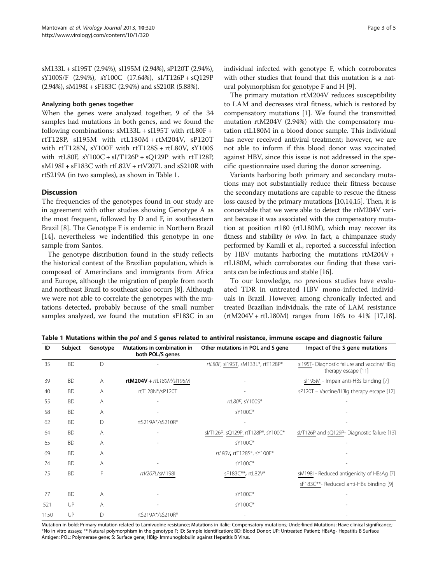<span id="page-2-0"></span>sM133L + sI195T (2.94%), sI195M (2.94%), sP120T (2.94%), sY100S/F (2.94%), sY100C (17.64%), sI/T126P + sQ129P (2.94%), sM198I + sF183C (2.94%) and sS210R (5.88%).

## Analyzing both genes together

When the genes were analyzed together, 9 of the 34 samples had mutations in both genes, and we found the following combinations: sM133L + sI195T with rtL80F + rtT128P, sI195M with rtL180M + rtM204V, sP120T with rtT128N, sY100F with rtT128S + rtL80V, sY100S with rtL80F, sY100C + sI/T126P + sQ129P with rtT128P, sM198I + sF183C with rtL82V + rtV207L and sS210R with rtS219A (in two samples), as shown in Table 1.

## **Discussion**

The frequencies of the genotypes found in our study are in agreement with other studies showing Genotype A as the most frequent, followed by D and F, in southeastern Brazil [\[8\]](#page-4-0). The Genotype F is endemic in Northern Brazil [[14\]](#page-4-0), nevertheless we indentified this genotype in one sample from Santos.

The genotype distribution found in the study reflects the historical context of the Brazilian population, which is composed of Amerindians and immigrants from Africa and Europe, although the migration of people from north and northeast Brazil to southeast also occurs [\[8](#page-4-0)]. Although we were not able to correlate the genotypes with the mutations detected, probably because of the small number samples analyzed, we found the mutation sF183C in an

The primary mutation rtM204V reduces susceptibility to LAM and decreases viral fitness, which is restored by compensatory mutations [\[1](#page-3-0)]. We found the transmitted mutation rtM204V (2.94%) with the compensatory mutation rtL180M in a blood donor sample. This individual has never received antiviral treatment; however, we are not able to inform if this blood donor was vaccinated against HBV, since this issue is not addressed in the specific questionnaire used during the donor screening.

Variants harboring both primary and secondary mutations may not substantially reduce their fitness because the secondary mutations are capable to rescue the fitness loss caused by the primary mutations [\[10,14,15\]](#page-4-0). Then, it is conceivable that we were able to detect the rtM204V variant because it was associated with the compensatory mutation at position rt180 (rtL180M), which may recover its fitness and stability in vivo. In fact, a chimpanzee study performed by Kamili et al., reported a successful infection by HBV mutants harboring the mutations rtM204V + rtL180M, which corroborates our finding that these variants can be infectious and stable [\[16\]](#page-4-0).

To our knowledge, no previous studies have evaluated TDR in untreated HBV mono-infected individuals in Brazil. However, among chronically infected and treated Brazilian individuals, the rate of LAM resistance (rtM204V + rtL180M) ranges from 16% to 41% [\[17,18](#page-4-0)].

Table 1 Mutations within the pol and S genes related to antiviral resistance, immune escape and diagnostic failure

| ID   | Subject   | Genotype  | Mutations in combination in<br>both POL/S genes | Other mutations in POL and S gene   | Impact of the S gene mutations                                    |
|------|-----------|-----------|-------------------------------------------------|-------------------------------------|-------------------------------------------------------------------|
| 35   | <b>BD</b> | $\bigcap$ |                                                 | rtL80F, sl195T, sM133L*, rtT128P*   | sl195T-Diagnostic failure and vaccine/HBlg<br>therapy escape [11] |
| 39   | <b>BD</b> | A         | $r$ tM204V + $rt$ L180M/sl195M                  |                                     | sl195M - Impair anti-HBs binding [7]                              |
| 40   | <b>BD</b> | A         | rtT128N*/sP120T                                 |                                     | sP120T - Vaccine/HBIg therapy escape [12]                         |
| 55   | <b>BD</b> | A         |                                                 | rtL80F, sY100S*                     |                                                                   |
| 58   | <b>BD</b> | A         |                                                 | sY100C*                             |                                                                   |
| 62   | <b>BD</b> | D         | rtS219A*/sS210R*                                |                                     |                                                                   |
| 64   | <b>BD</b> | Α         |                                                 | sl/T126P, sQ129P, rtT128P*, sY100C* | sl/T126P and sQ129P-Diagnostic failure [13]                       |
| 65   | <b>BD</b> | A         |                                                 | sY100C*                             |                                                                   |
| 69   | <b>BD</b> | A         |                                                 | rtL80V, rtT128S*, sY100F*           |                                                                   |
| 74   | <b>BD</b> | A         |                                                 | sY100C*                             |                                                                   |
| 75   | <b>BD</b> | F         | rtV207L/sM198I                                  | sF183C**, rtL82V*                   | sM198I - Reduced antigenicity of HBsAg [7]                        |
|      |           |           |                                                 |                                     | sF183C**- Reduced anti-HBs binding [9]                            |
| 77   | <b>BD</b> | A         |                                                 | sY100C*                             |                                                                   |
| 521  | UP        | A         |                                                 | sY100C*                             |                                                                   |
| 1150 | UP        | D         | rtS219A*/sS210R*                                |                                     |                                                                   |

Mutation in bold: Primary mutation related to Lamivudine resistance; Mutations in italic: Compensatory mutations; Underlined Mutations: Have clinical significance; \*No in vitro assays; \*\* Natural polymorphism in the genotype F; ID: Sample identification; BD: Blood Donor; UP: Untreated Patient; HBsAg- Hepatitis B Surface Antigen; POL: Polymerase gene; S: Surface gene; HBIg- Immunoglobulin against Hepatitis B Virus.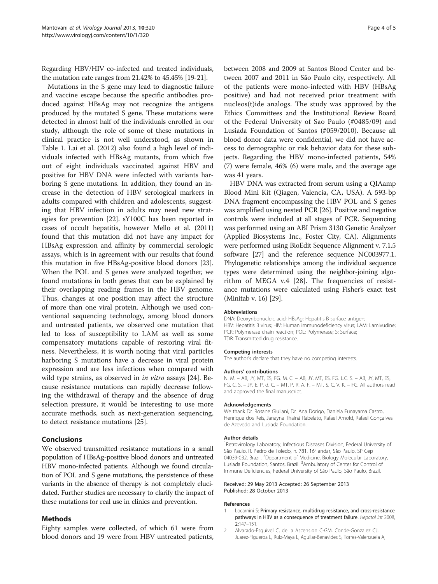<span id="page-3-0"></span>Regarding HBV/HIV co-infected and treated individuals, the mutation rate ranges from 21.42% to 45.45% [[19](#page-4-0)-[21](#page-4-0)].

Mutations in the S gene may lead to diagnostic failure and vaccine escape because the specific antibodies produced against HBsAg may not recognize the antigens produced by the mutated S gene. These mutations were detected in almost half of the individuals enrolled in our study, although the role of some of these mutations in clinical practice is not well understood, as shown in Table [1](#page-2-0). Lai et al. (2012) also found a high level of individuals infected with HBsAg mutants, from which five out of eight individuals vaccinated against HBV and positive for HBV DNA were infected with variants harboring S gene mutations. In addition, they found an increase in the detection of HBV serological markers in adults compared with children and adolescents, suggesting that HBV infection in adults may need new strategies for prevention [[22\]](#page-4-0). sY100C has been reported in cases of occult hepatitis, however Mello et al. (2011) found that this mutation did not have any impact for HBsAg expression and affinity by commercial serologic assays, which is in agreement with our results that found this mutation in five HBsAg-positive blood donors [\[23](#page-4-0)]. When the POL and S genes were analyzed together, we found mutations in both genes that can be explained by their overlapping reading frames in the HBV genome. Thus, changes at one position may affect the structure of more than one viral protein. Although we used conventional sequencing technology, among blood donors and untreated patients, we observed one mutation that led to loss of susceptibility to LAM as well as some compensatory mutations capable of restoring viral fitness. Nevertheless, it is worth noting that viral particles harboring S mutations have a decrease in viral protein expression and are less infectious when compared with wild type strains, as observed in *in vitro* assays [\[24](#page-4-0)]. Because resistance mutations can rapidly decrease following the withdrawal of therapy and the absence of drug selection pressure, it would be interesting to use more accurate methods, such as next-generation sequencing, to detect resistance mutations [[25\]](#page-4-0).

## **Conclusions**

We observed transmitted resistance mutations in a small population of HBsAg-positive blood donors and untreated HBV mono-infected patients. Although we found circulation of POL and S gene mutations, the persistence of these variants in the absence of therapy is not completely elucidated. Further studies are necessary to clarify the impact of these mutations for real use in clinics and prevention.

## Methods

Eighty samples were collected, of which 61 were from blood donors and 19 were from HBV untreated patients,

between 2008 and 2009 at Santos Blood Center and between 2007 and 2011 in São Paulo city, respectively. All of the patients were mono-infected with HBV (HBsAg positive) and had not received prior treatment with nucleos(t)ide analogs. The study was approved by the Ethics Committees and the Institutional Review Board of the Federal University of Sao Paulo (#0485/09) and Lusiada Foundation of Santos (#059/2010). Because all blood donor data were confidential, we did not have access to demographic or risk behavior data for these subjects. Regarding the HBV mono-infected patients, 54% (7) were female, 46% (6) were male, and the average age was 41 years.

HBV DNA was extracted from serum using a QIAamp Blood Mini Kit (Qiagen, Valencia, CA, USA). A 593-bp DNA fragment encompassing the HBV POL and S genes was amplified using nested PCR [[26](#page-4-0)]. Positive and negative controls were included at all stages of PCR. Sequencing was performed using an ABI Prism 3130 Genetic Analyzer (Applied Biosystems Inc., Foster City, CA). Alignments were performed using BioEdit Sequence Alignment v. 7.1.5 software [[27\]](#page-4-0) and the reference sequence NC003977.1. Phylogenetic relationships among the individual sequence types were determined using the neighbor-joining algorithm of MEGA v.4 [\[28\]](#page-4-0). The frequencies of resistance mutations were calculated using Fisher's exact test (Minitab v. 16) [[29](#page-4-0)].

#### Abbreviations

DNA: Deoxyribonucleic acid; HBsAg: Hepatitis B surface antigen; HBV: Hepatitis B virus; HIV: Human immunodeficiency virus; LAM: Lamivudine; PCR: Polymerase chain reaction; POL: Polymerase; S: Surface; TDR: Transmitted drug resistance.

#### Competing interests

The author's declare that they have no competing interests.

#### Authors' contributions

N. M. – AB, JY, MT, ES, FG. M. C. – AB, JY, MT, ES, FG. L.C. S. – AB, JY, MT, ES, FG. C. S. – JY. E. P. d. C. – MT. P. R. A. F. – MT. S. C. V. K. – FG. All authors read and approved the final manuscript.

#### Acknowledgements

We thank Dr. Rosane Giuliani, Dr. Ana Dorigo, Daniela Funayama Castro, Henrique dos Reis, Janayna Thainá Rabelato, Rafael Arnold, Rafael Gonçalves de Azevedo and Lusiada Foundation.

#### Author details

<sup>1</sup> Retrovirology Laboratory, Infectious Diseases Division, Federal University of São Paulo, R. Pedro de Toledo, n. 781, 16° andar, São Paulo, SP Cep 04039-032, Brazil. <sup>2</sup>Department of Medicine, Biology Molecular Laboratory Lusiada Foundation, Santos, Brazil. <sup>3</sup>Ambulatory of Center for Control of Immune Deficiencies, Federal University of São Paulo, São Paulo, Brazil.

#### Received: 29 May 2013 Accepted: 26 September 2013 Published: 28 October 2013

#### References

- 1. Locarnini S: Primary resistance, multidrug resistance, and cross-resistance pathways in HBV as a consequence of treatment failure. Hepatol Int 2008, 2:147–151.
- 2. Alvarado-Esquivel C, de la Ascension C-GM, Conde-Gonzalez CJ, Juarez-Figueroa L, Ruiz-Maya L, Aguilar-Benavides S, Torres-Valenzuela A,